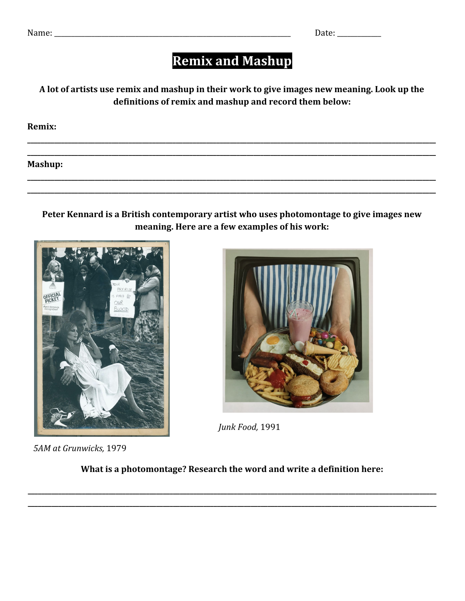## **Remix and Mashup**

A lot of artists use remix and mashup in their work to give images new meaning. Look up the definitions of remix and mashup and record them below:

Remix:

Mashup:

Peter Kennard is a British contemporary artist who uses photomontage to give images new meaning. Here are a few examples of his work:





Junk Food, 1991

5AM at Grunwicks, 1979

What is a photomontage? Research the word and write a definition here: